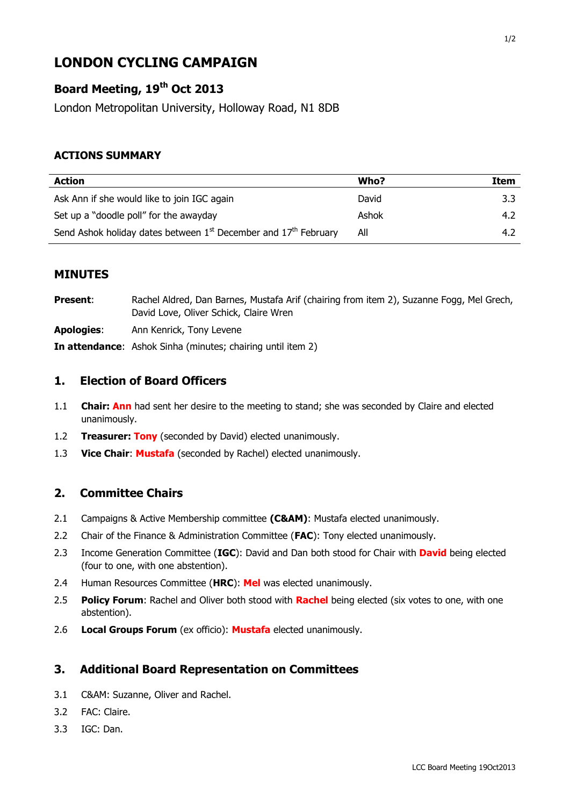# **LONDON CYCLING CAMPAIGN**

## **Board Meeting, 19th Oct 2013**

London Metropolitan University, Holloway Road, N1 8DB

#### **ACTIONS SUMMARY**

| <b>Action</b>                                                       | Who?  | Item |
|---------------------------------------------------------------------|-------|------|
| Ask Ann if she would like to join IGC again                         | David | 3.3  |
| Set up a "doodle poll" for the awayday                              | Ashok | 4.2  |
| Send Ashok holiday dates between $1st$ December and $17th$ February | All   | 4.2  |

#### **MINUTES**

| <b>Present:</b>   | Rachel Aldred, Dan Barnes, Mustafa Arif (chairing from item 2), Suzanne Fogg, Mel Grech,<br>David Love, Oliver Schick, Claire Wren |
|-------------------|------------------------------------------------------------------------------------------------------------------------------------|
| <b>Apologies:</b> | Ann Kenrick, Tony Levene                                                                                                           |
|                   | <b>In attendance:</b> Ashok Sinha (minutes; chairing until item 2)                                                                 |

#### **1. Election of Board Officers**

- 1.1 **Chair: Ann** had sent her desire to the meeting to stand; she was seconded by Claire and elected unanimously.
- 1.2 **Treasurer: Tony** (seconded by David) elected unanimously.
- 1.3 **Vice Chair**: **Mustafa** (seconded by Rachel) elected unanimously.

#### **2. Committee Chairs**

- 2.1 Campaigns & Active Membership committee **(C&AM)**: Mustafa elected unanimously.
- 2.2 Chair of the Finance & Administration Committee (**FAC**): Tony elected unanimously.
- 2.3 Income Generation Committee (**IGC**): David and Dan both stood for Chair with **David** being elected (four to one, with one abstention).
- 2.4 Human Resources Committee (**HRC**): **Mel** was elected unanimously.
- 2.5 **Policy Forum**: Rachel and Oliver both stood with **Rachel** being elected (six votes to one, with one abstention).
- 2.6 **Local Groups Forum** (ex officio): **Mustafa** elected unanimously.

### **3. Additional Board Representation on Committees**

- 3.1 C&AM: Suzanne, Oliver and Rachel.
- 3.2 FAC: Claire.
- 3.3 IGC: Dan.